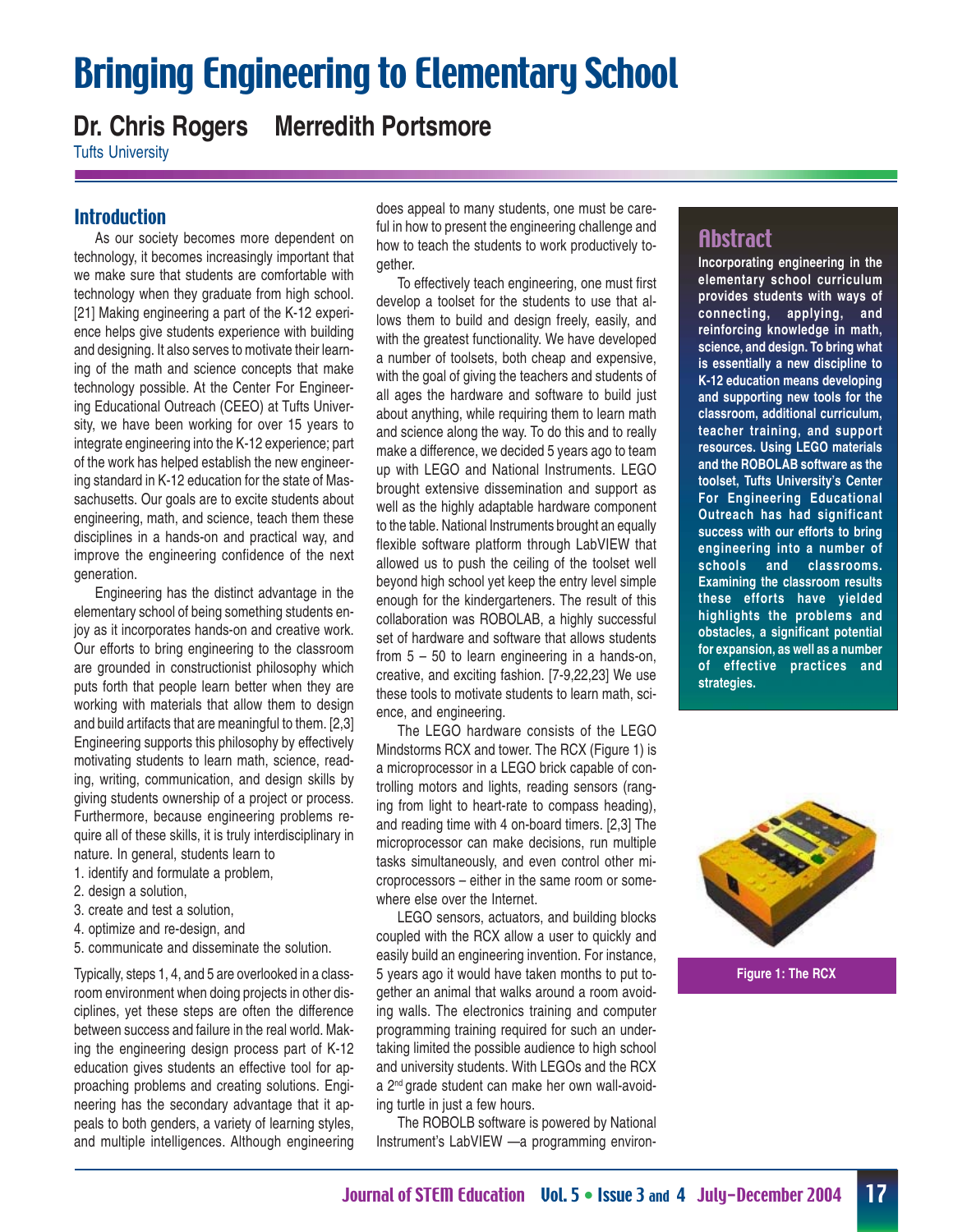# Bringing Engineering to Elementary School

## **Dr. Chris Rogers Merredith Portsmore**

Tufts University

#### **Introduction**

As our society becomes more dependent on technology, it becomes increasingly important that we make sure that students are comfortable with technology when they graduate from high school. [21] Making engineering a part of the K-12 experience helps give students experience with building and designing. It also serves to motivate their learning of the math and science concepts that make technology possible. At the Center For Engineering Educational Outreach (CEEO) at Tufts University, we have been working for over 15 years to integrate engineering into the K-12 experience; part of the work has helped establish the new engineering standard in K-12 education for the state of Massachusetts. Our goals are to excite students about engineering, math, and science, teach them these disciplines in a hands-on and practical way, and improve the engineering confidence of the next generation.

Engineering has the distinct advantage in the elementary school of being something students enjoy as it incorporates hands-on and creative work. Our efforts to bring engineering to the classroom are grounded in constructionist philosophy which puts forth that people learn better when they are working with materials that allow them to design and build artifacts that are meaningful to them. [2,3] Engineering supports this philosophy by effectively motivating students to learn math, science, reading, writing, communication, and design skills by giving students ownership of a project or process. Furthermore, because engineering problems require all of these skills, it is truly interdisciplinary in nature. In general, students learn to

1. identify and formulate a problem,

- 2. design a solution,
- 3. create and test a solution,
- 4. optimize and re-design, and
- 5. communicate and disseminate the solution.

Typically, steps 1, 4, and 5 are overlooked in a classroom environment when doing projects in other disciplines, yet these steps are often the difference between success and failure in the real world. Making the engineering design process part of K-12 education gives students an effective tool for approaching problems and creating solutions. Engineering has the secondary advantage that it appeals to both genders, a variety of learning styles, and multiple intelligences. Although engineering

does appeal to many students, one must be careful in how to present the engineering challenge and how to teach the students to work productively together.

To effectively teach engineering, one must first develop a toolset for the students to use that allows them to build and design freely, easily, and with the greatest functionality. We have developed a number of toolsets, both cheap and expensive, with the goal of giving the teachers and students of all ages the hardware and software to build just about anything, while requiring them to learn math and science along the way. To do this and to really make a difference, we decided 5 years ago to team up with LEGO and National Instruments. LEGO brought extensive dissemination and support as well as the highly adaptable hardware component to the table. National Instruments brought an equally flexible software platform through LabVIEW that allowed us to push the ceiling of the toolset well beyond high school yet keep the entry level simple enough for the kindergarteners. The result of this collaboration was ROBOLAB, a highly successful set of hardware and software that allows students from 5 – 50 to learn engineering in a hands-on, creative, and exciting fashion. [7-9,22,23] We use these tools to motivate students to learn math, science, and engineering.

The LEGO hardware consists of the LEGO Mindstorms RCX and tower. The RCX (Figure 1) is a microprocessor in a LEGO brick capable of controlling motors and lights, reading sensors (ranging from light to heart-rate to compass heading), and reading time with 4 on-board timers. [2,3] The microprocessor can make decisions, run multiple tasks simultaneously, and even control other microprocessors – either in the same room or somewhere else over the Internet.

LEGO sensors, actuators, and building blocks coupled with the RCX allow a user to quickly and easily build an engineering invention. For instance, 5 years ago it would have taken months to put together an animal that walks around a room avoiding walls. The electronics training and computer programming training required for such an undertaking limited the possible audience to high school and university students. With LEGOs and the RCX a 2nd grade student can make her own wall-avoiding turtle in just a few hours.

The ROBOLB software is powered by National Instrument's LabVIEW —a programming environ-

## Abstract

**Incorporating engineering in the elementary school curriculum provides students with ways of connecting, applying, and reinforcing knowledge in math, science, and design. To bring what is essentially a new discipline to K-12 education means developing and supporting new tools for the classroom, additional curriculum, teacher training, and support resources. Using LEGO materials and the ROBOLAB software as the toolset, Tufts University's Center For Engineering Educational Outreach has had significant success with our efforts to bring engineering into a number of schools and classrooms. Examining the classroom results these efforts have yielded highlights the problems and obstacles, a significant potential for expansion, as well as a number of effective practices and strategies.**



**Figure 1: The RCX**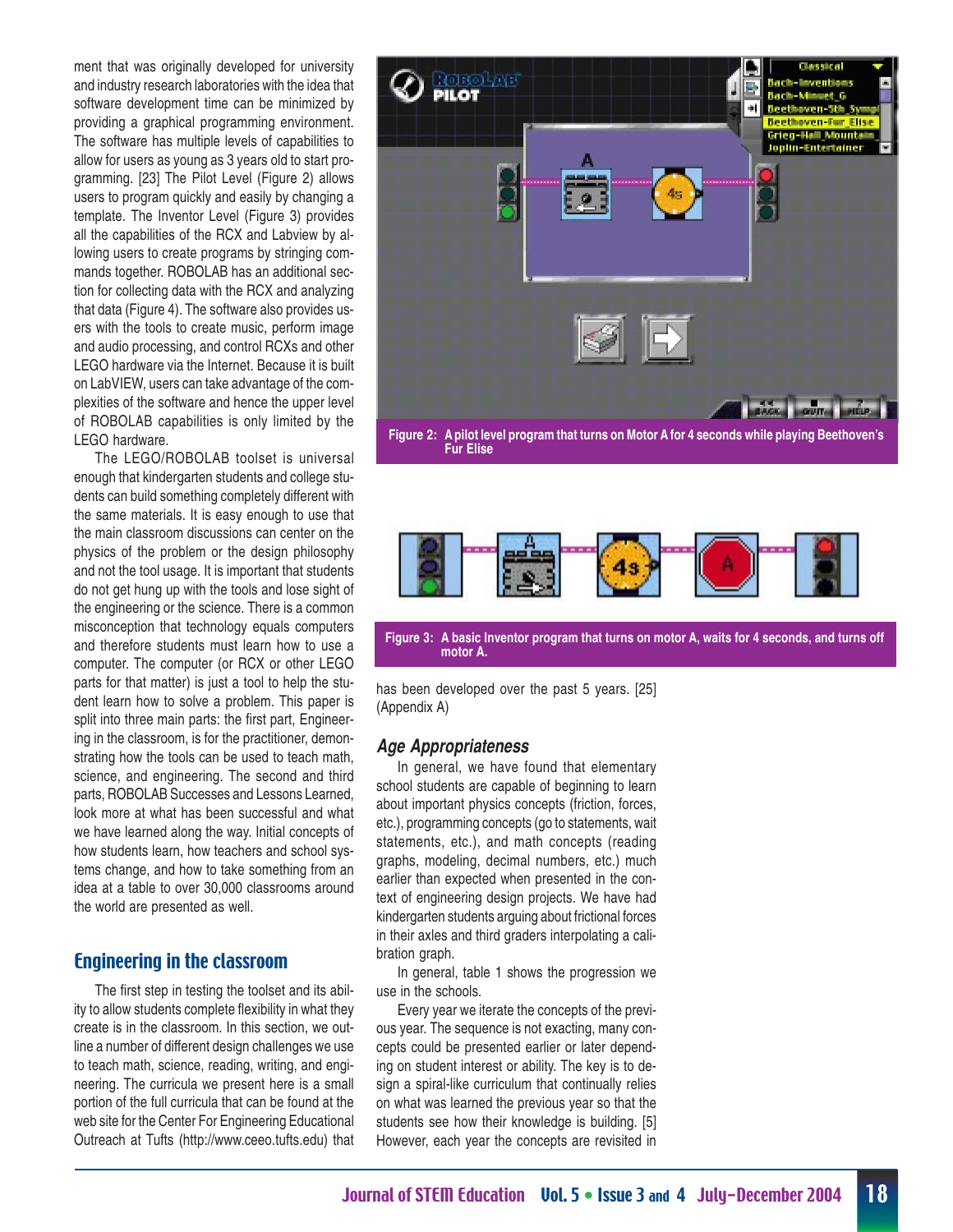ment that was originally developed for university and industry research laboratories with the idea that software development time can be minimized by providing a graphical programming environment. The software has multiple levels of capabilities to allow for users as young as 3 years old to start programming. [23] The Pilot Level (Figure 2) allows users to program quickly and easily by changing a template. The Inventor Level (Figure 3) provides all the capabilities of the RCX and Labview by allowing users to create programs by stringing commands together. ROBOLAB has an additional section for collecting data with the RCX and analyzing that data (Figure 4). The software also provides users with the tools to create music, perform image and audio processing, and control RCXs and other LEGO hardware via the Internet. Because it is built on LabVIEW, users can take advantage of the complexities of the software and hence the upper level of ROBOLAB capabilities is only limited by the LEGO hardware.

The LEGO/ROBOLAB toolset is universal enough that kindergarten students and college students can build something completely different with the same materials. It is easy enough to use that the main classroom discussions can center on the physics of the problem or the design philosophy and not the tool usage. It is important that students do not get hung up with the tools and lose sight of the engineering or the science. There is a common misconception that technology equals computers and therefore students must learn how to use a computer. The computer (or RCX or other LEGO parts for that matter) is just a tool to help the student learn how to solve a problem. This paper is split into three main parts: the first part, Engineering in the classroom, is for the practitioner, demonstrating how the tools can be used to teach math, science, and engineering. The second and third parts, ROBOLAB Successes and Lessons Learned, look more at what has been successful and what we have learned along the way. Initial concepts of how students learn, how teachers and school systems change, and how to take something from an idea at a table to over 30,000 classrooms around the world are presented as well.

#### Engineering in the classroom

The first step in testing the toolset and its ability to allow students complete flexibility in what they create is in the classroom. In this section, we outline a number of different design challenges we use to teach math, science, reading, writing, and engineering. The curricula we present here is a small portion of the full curricula that can be found at the web site for the Center For Engineering Educational Outreach at Tufts (http://www.ceeo.tufts.edu) that







**Figure 3: A basic Inventor program that turns on motor A, waits for 4 seconds, and turns off motor A.**

has been developed over the past 5 years. [25] (Appendix A)

#### **Age Appropriateness**

In general, we have found that elementary school students are capable of beginning to learn about important physics concepts (friction, forces, etc.), programming concepts (go to statements, wait statements, etc.), and math concepts (reading graphs, modeling, decimal numbers, etc.) much earlier than expected when presented in the context of engineering design projects. We have had kindergarten students arguing about frictional forces in their axles and third graders interpolating a calibration graph.

In general, table 1 shows the progression we use in the schools.

Every year we iterate the concepts of the previous year. The sequence is not exacting, many concepts could be presented earlier or later depending on student interest or ability. The key is to design a spiral-like curriculum that continually relies on what was learned the previous year so that the students see how their knowledge is building. [5] However, each year the concepts are revisited in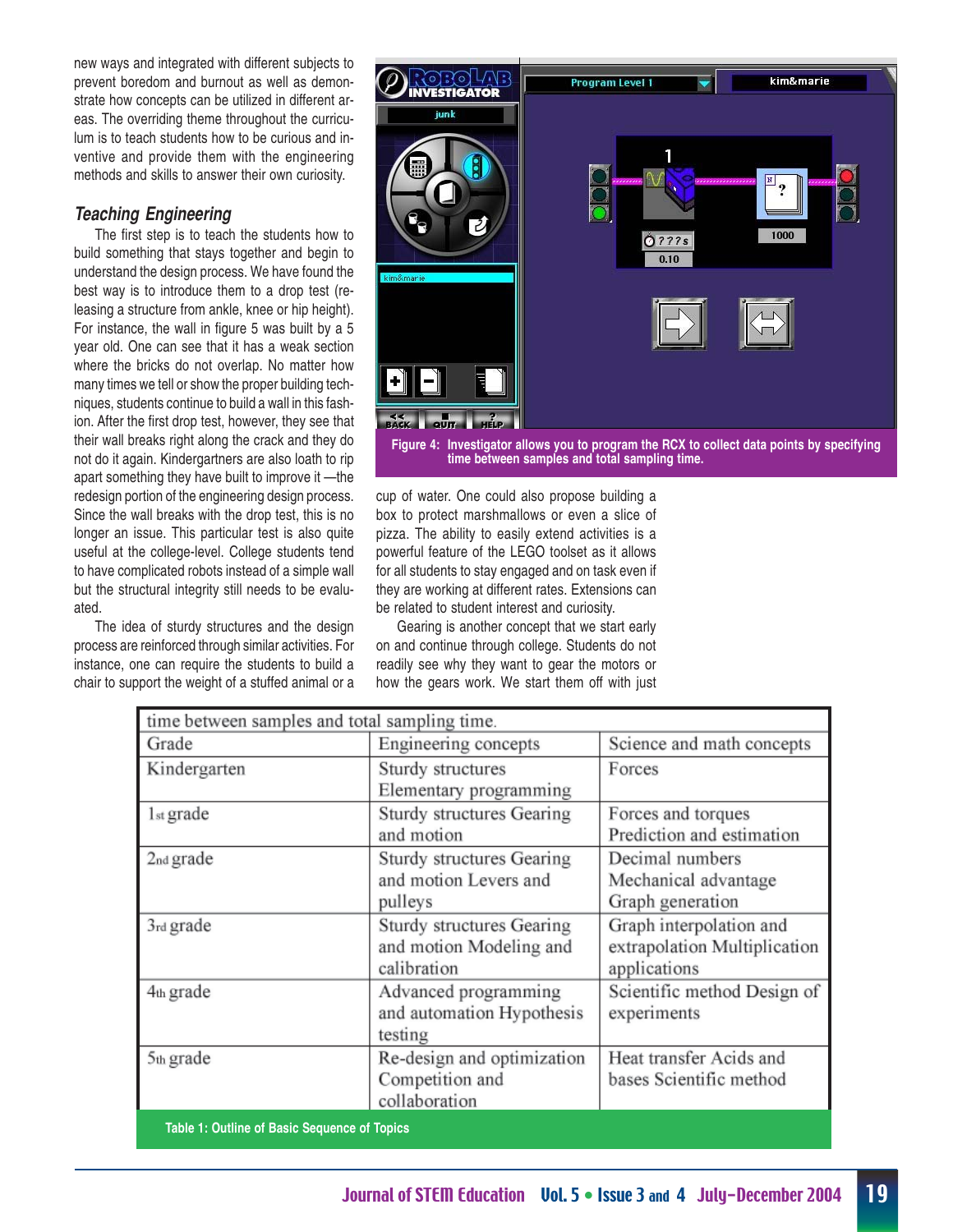new ways and integrated with different subjects to prevent boredom and burnout as well as demonstrate how concepts can be utilized in different areas. The overriding theme throughout the curriculum is to teach students how to be curious and inventive and provide them with the engineering methods and skills to answer their own curiosity.

#### **Teaching Engineering**

The first step is to teach the students how to build something that stays together and begin to understand the design process. We have found the best way is to introduce them to a drop test (releasing a structure from ankle, knee or hip height). For instance, the wall in figure 5 was built by a 5 year old. One can see that it has a weak section where the bricks do not overlap. No matter how many times we tell or show the proper building techniques, students continue to build a wall in this fashion. After the first drop test, however, they see that their wall breaks right along the crack and they do not do it again. Kindergartners are also loath to rip apart something they have built to improve it —the redesign portion of the engineering design process. Since the wall breaks with the drop test, this is no longer an issue. This particular test is also quite useful at the college-level. College students tend to have complicated robots instead of a simple wall but the structural integrity still needs to be evaluated.

The idea of sturdy structures and the design process are reinforced through similar activities. For instance, one can require the students to build a chair to support the weight of a stuffed animal or a



cup of water. One could also propose building a box to protect marshmallows or even a slice of pizza. The ability to easily extend activities is a powerful feature of the LEGO toolset as it allows for all students to stay engaged and on task even if they are working at different rates. Extensions can

be related to student interest and curiosity. Gearing is another concept that we start early on and continue through college. Students do not readily see why they want to gear the motors or how the gears work. We start them off with just

| time between samples and total sampling time. |                            |                              |  |
|-----------------------------------------------|----------------------------|------------------------------|--|
| Grade                                         | Engineering concepts       | Science and math concepts    |  |
| Kindergarten                                  | Sturdy structures          | Forces                       |  |
|                                               | Elementary programming     |                              |  |
| $1st$ grade                                   | Sturdy structures Gearing  | Forces and torques           |  |
|                                               | and motion                 | Prediction and estimation    |  |
| 2nd grade                                     | Sturdy structures Gearing  | Decimal numbers              |  |
|                                               | and motion Levers and      | Mechanical advantage         |  |
|                                               | pulleys                    | Graph generation             |  |
| 3rd grade                                     | Sturdy structures Gearing  | Graph interpolation and      |  |
|                                               | and motion Modeling and    | extrapolation Multiplication |  |
|                                               | calibration                | applications                 |  |
| 4th grade                                     | Advanced programming       | Scientific method Design of  |  |
|                                               | and automation Hypothesis  | experiments                  |  |
|                                               | testing                    |                              |  |
| 5th grade                                     | Re-design and optimization | Heat transfer Acids and      |  |
|                                               | Competition and            | bases Scientific method      |  |
|                                               | collaboration              |                              |  |
| Table 1: Outline of Basic Sequence of Topics  |                            |                              |  |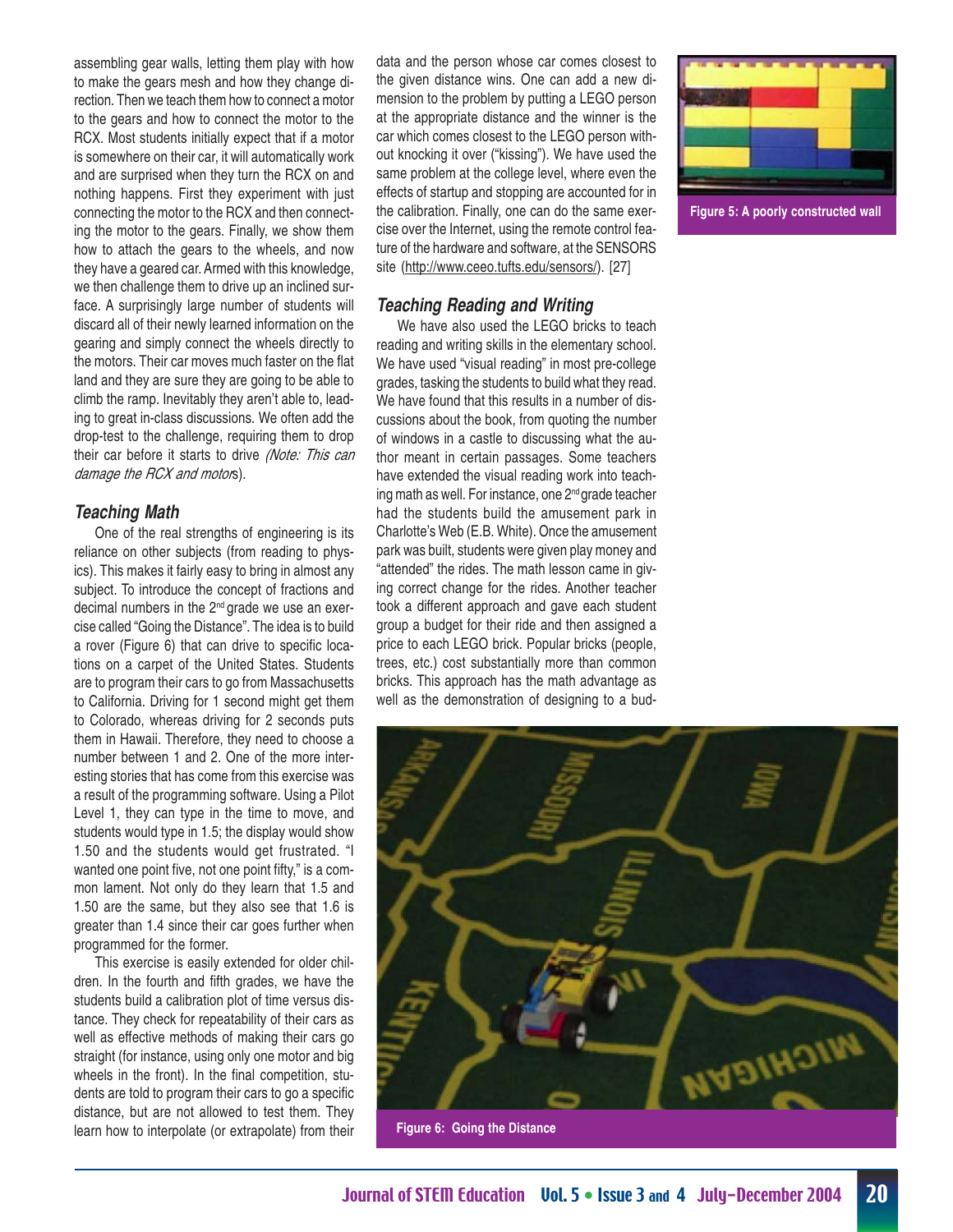assembling gear walls, letting them play with how to make the gears mesh and how they change direction. Then we teach them how to connect a motor to the gears and how to connect the motor to the RCX. Most students initially expect that if a motor is somewhere on their car, it will automatically work and are surprised when they turn the RCX on and nothing happens. First they experiment with just connecting the motor to the RCX and then connecting the motor to the gears. Finally, we show them how to attach the gears to the wheels, and now they have a geared car. Armed with this knowledge, we then challenge them to drive up an inclined surface. A surprisingly large number of students will discard all of their newly learned information on the gearing and simply connect the wheels directly to the motors. Their car moves much faster on the flat land and they are sure they are going to be able to climb the ramp. Inevitably they aren't able to, leading to great in-class discussions. We often add the drop-test to the challenge, requiring them to drop their car before it starts to drive (Note: This can damage the RCX and motors).

#### **Teaching Math**

One of the real strengths of engineering is its reliance on other subjects (from reading to physics). This makes it fairly easy to bring in almost any subject. To introduce the concept of fractions and decimal numbers in the 2<sup>nd</sup> grade we use an exercise called "Going the Distance". The idea is to build a rover (Figure 6) that can drive to specific locations on a carpet of the United States. Students are to program their cars to go from Massachusetts to California. Driving for 1 second might get them to Colorado, whereas driving for 2 seconds puts them in Hawaii. Therefore, they need to choose a number between 1 and 2. One of the more interesting stories that has come from this exercise was a result of the programming software. Using a Pilot Level 1, they can type in the time to move, and students would type in 1.5; the display would show 1.50 and the students would get frustrated. "I wanted one point five, not one point fifty," is a common lament. Not only do they learn that 1.5 and 1.50 are the same, but they also see that 1.6 is greater than 1.4 since their car goes further when programmed for the former.

This exercise is easily extended for older children. In the fourth and fifth grades, we have the students build a calibration plot of time versus distance. They check for repeatability of their cars as well as effective methods of making their cars go straight (for instance, using only one motor and big wheels in the front). In the final competition, students are told to program their cars to go a specific distance, but are not allowed to test them. They learn how to interpolate (or extrapolate) from their

data and the person whose car comes closest to the given distance wins. One can add a new dimension to the problem by putting a LEGO person at the appropriate distance and the winner is the car which comes closest to the LEGO person without knocking it over ("kissing"). We have used the same problem at the college level, where even the effects of startup and stopping are accounted for in the calibration. Finally, one can do the same exercise over the Internet, using the remote control feature of the hardware and software, at the SENSORS site (http://www.ceeo.tufts.edu/sensors/). [27]

#### **Teaching Reading and Writing**

We have also used the LEGO bricks to teach reading and writing skills in the elementary school. We have used "visual reading" in most pre-college grades, tasking the students to build what they read. We have found that this results in a number of discussions about the book, from quoting the number of windows in a castle to discussing what the author meant in certain passages. Some teachers have extended the visual reading work into teaching math as well. For instance, one 2<sup>nd</sup> grade teacher had the students build the amusement park in Charlotte's Web (E.B. White). Once the amusement park was built, students were given play money and "attended" the rides. The math lesson came in giving correct change for the rides. Another teacher took a different approach and gave each student group a budget for their ride and then assigned a price to each LEGO brick. Popular bricks (people, trees, etc.) cost substantially more than common bricks. This approach has the math advantage as well as the demonstration of designing to a bud-





**Figure 6: Going the Distance**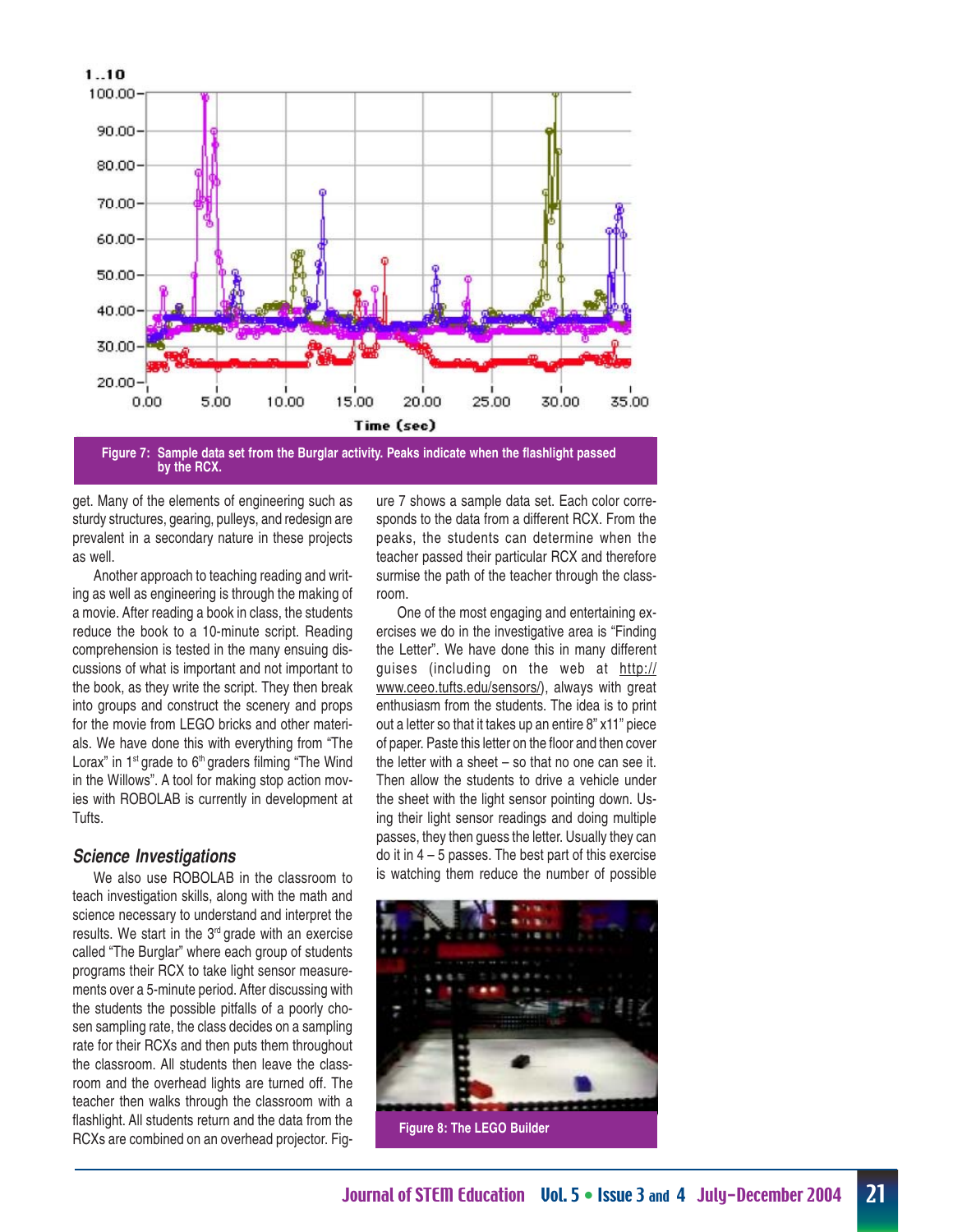

**Figure 7: Sample data set from the Burglar activity. Peaks indicate when the flashlight passed by the RCX.**

get. Many of the elements of engineering such as sturdy structures, gearing, pulleys, and redesign are prevalent in a secondary nature in these projects as well.

Another approach to teaching reading and writing as well as engineering is through the making of a movie. After reading a book in class, the students reduce the book to a 10-minute script. Reading comprehension is tested in the many ensuing discussions of what is important and not important to the book, as they write the script. They then break into groups and construct the scenery and props for the movie from LEGO bricks and other materials. We have done this with everything from "The Lorax" in 1<sup>st</sup> grade to 6<sup>th</sup> graders filming "The Wind in the Willows". A tool for making stop action movies with ROBOLAB is currently in development at Tufts.

#### **Science Investigations**

We also use ROBOLAB in the classroom to teach investigation skills, along with the math and science necessary to understand and interpret the results. We start in the  $3<sup>rd</sup>$  grade with an exercise called "The Burglar" where each group of students programs their RCX to take light sensor measurements over a 5-minute period. After discussing with the students the possible pitfalls of a poorly chosen sampling rate, the class decides on a sampling rate for their RCXs and then puts them throughout the classroom. All students then leave the classroom and the overhead lights are turned off. The teacher then walks through the classroom with a flashlight. All students return and the data from the RCXs are combined on an overhead projector. Figure 7 shows a sample data set. Each color corresponds to the data from a different RCX. From the peaks, the students can determine when the teacher passed their particular RCX and therefore surmise the path of the teacher through the classroom.

One of the most engaging and entertaining exercises we do in the investigative area is "Finding the Letter". We have done this in many different guises (including on the web at http:// www.ceeo.tufts.edu/sensors/), always with great enthusiasm from the students. The idea is to print out a letter so that it takes up an entire 8" x11" piece of paper. Paste this letter on the floor and then cover the letter with a sheet – so that no one can see it. Then allow the students to drive a vehicle under the sheet with the light sensor pointing down. Using their light sensor readings and doing multiple passes, they then guess the letter. Usually they can do it in  $4 - 5$  passes. The best part of this exercise is watching them reduce the number of possible

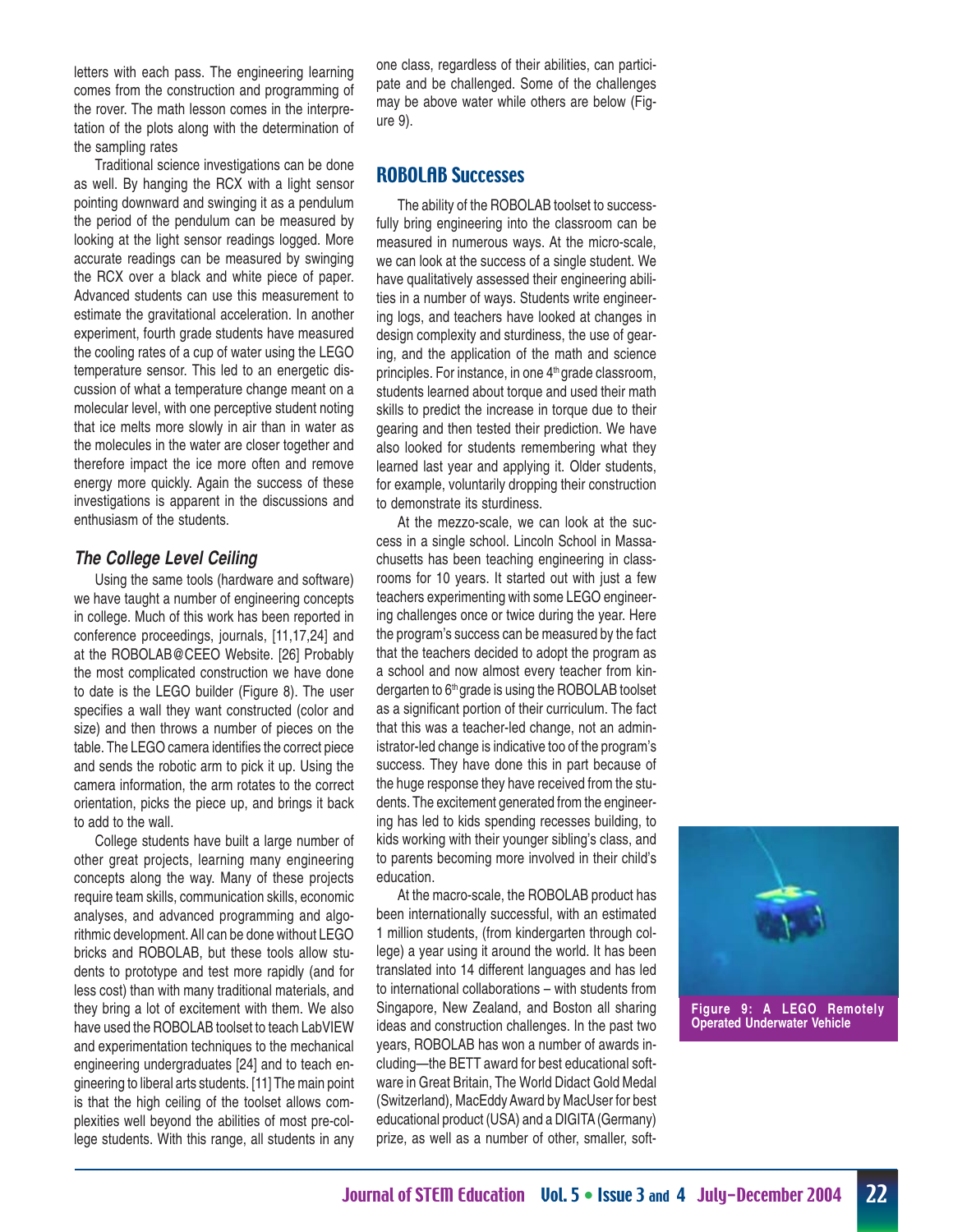letters with each pass. The engineering learning comes from the construction and programming of the rover. The math lesson comes in the interpretation of the plots along with the determination of the sampling rates

Traditional science investigations can be done as well. By hanging the RCX with a light sensor pointing downward and swinging it as a pendulum the period of the pendulum can be measured by looking at the light sensor readings logged. More accurate readings can be measured by swinging the RCX over a black and white piece of paper. Advanced students can use this measurement to estimate the gravitational acceleration. In another experiment, fourth grade students have measured the cooling rates of a cup of water using the LEGO temperature sensor. This led to an energetic discussion of what a temperature change meant on a molecular level, with one perceptive student noting that ice melts more slowly in air than in water as the molecules in the water are closer together and therefore impact the ice more often and remove energy more quickly. Again the success of these investigations is apparent in the discussions and enthusiasm of the students.

#### **The College Level Ceiling**

Using the same tools (hardware and software) we have taught a number of engineering concepts in college. Much of this work has been reported in conference proceedings, journals, [11,17,24] and at the ROBOLAB@CEEO Website. [26] Probably the most complicated construction we have done to date is the LEGO builder (Figure 8). The user specifies a wall they want constructed (color and size) and then throws a number of pieces on the table. The LEGO camera identifies the correct piece and sends the robotic arm to pick it up. Using the camera information, the arm rotates to the correct orientation, picks the piece up, and brings it back to add to the wall.

College students have built a large number of other great projects, learning many engineering concepts along the way. Many of these projects require team skills, communication skills, economic analyses, and advanced programming and algorithmic development. All can be done without LEGO bricks and ROBOLAB, but these tools allow students to prototype and test more rapidly (and for less cost) than with many traditional materials, and they bring a lot of excitement with them. We also have used the ROBOLAB toolset to teach LabVIEW and experimentation techniques to the mechanical engineering undergraduates [24] and to teach engineering to liberal arts students. [11] The main point is that the high ceiling of the toolset allows complexities well beyond the abilities of most pre-college students. With this range, all students in any

one class, regardless of their abilities, can participate and be challenged. Some of the challenges may be above water while others are below (Figure 9).

#### ROBOLAB Successes

The ability of the ROBOLAB toolset to successfully bring engineering into the classroom can be measured in numerous ways. At the micro-scale, we can look at the success of a single student. We have qualitatively assessed their engineering abilities in a number of ways. Students write engineering logs, and teachers have looked at changes in design complexity and sturdiness, the use of gearing, and the application of the math and science principles. For instance, in one  $4<sup>th</sup>$  grade classroom, students learned about torque and used their math skills to predict the increase in torque due to their gearing and then tested their prediction. We have also looked for students remembering what they learned last year and applying it. Older students, for example, voluntarily dropping their construction to demonstrate its sturdiness.

At the mezzo-scale, we can look at the success in a single school. Lincoln School in Massachusetts has been teaching engineering in classrooms for 10 years. It started out with just a few teachers experimenting with some LEGO engineering challenges once or twice during the year. Here the program's success can be measured by the fact that the teachers decided to adopt the program as a school and now almost every teacher from kindergarten to 6<sup>th</sup> grade is using the ROBOLAB toolset as a significant portion of their curriculum. The fact that this was a teacher-led change, not an administrator-led change is indicative too of the program's success. They have done this in part because of the huge response they have received from the students. The excitement generated from the engineering has led to kids spending recesses building, to kids working with their younger sibling's class, and to parents becoming more involved in their child's education.

At the macro-scale, the ROBOLAB product has been internationally successful, with an estimated 1 million students, (from kindergarten through college) a year using it around the world. It has been translated into 14 different languages and has led to international collaborations – with students from Singapore, New Zealand, and Boston all sharing ideas and construction challenges. In the past two years, ROBOLAB has won a number of awards including—the BETT award for best educational software in Great Britain, The World Didact Gold Medal (Switzerland), MacEddy Award by MacUser for best educational product (USA) and a DIGITA (Germany) prize, as well as a number of other, smaller, soft-

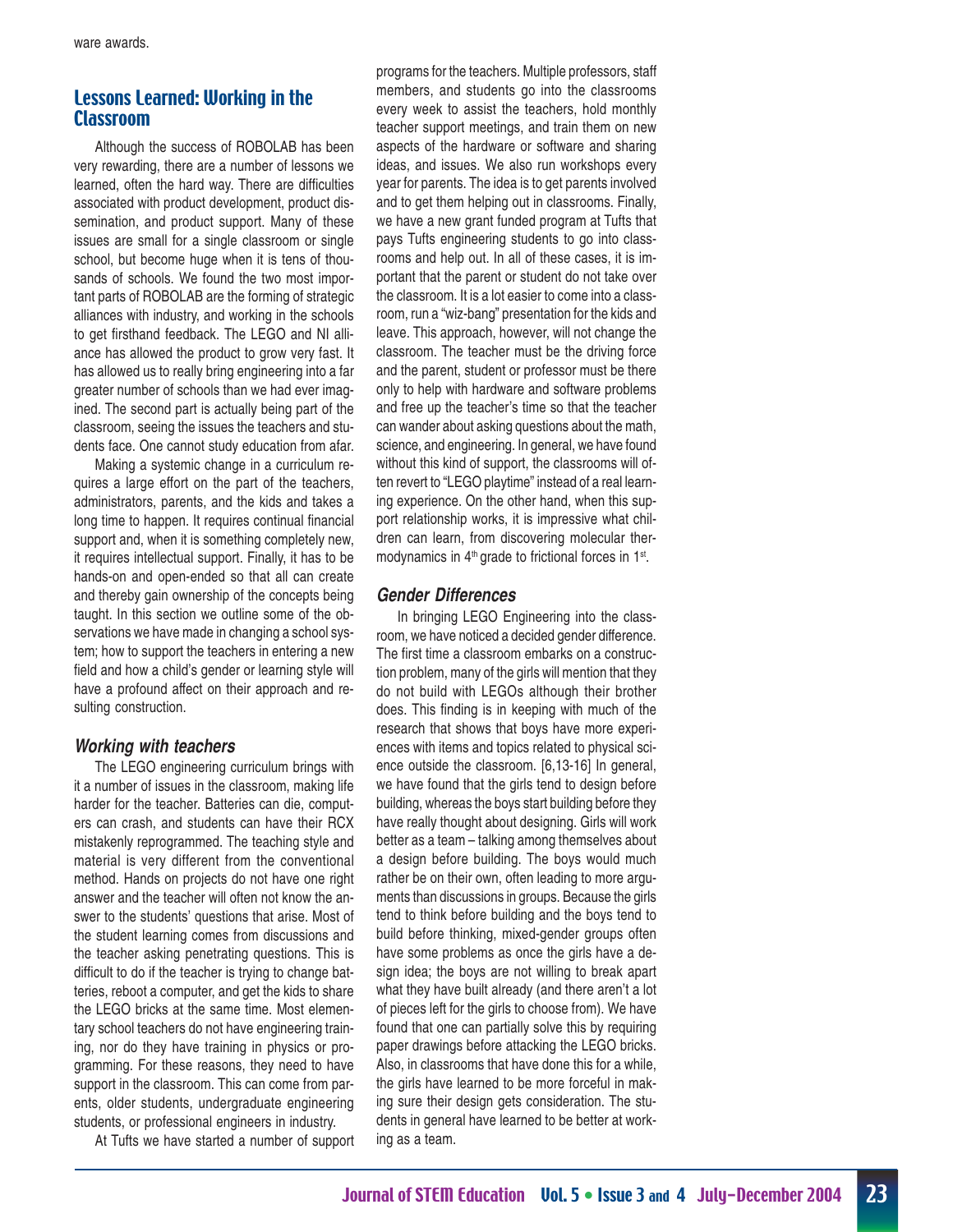#### Lessons Learned: Working in the Classroom

Although the success of ROBOLAB has been very rewarding, there are a number of lessons we learned, often the hard way. There are difficulties associated with product development, product dissemination, and product support. Many of these issues are small for a single classroom or single school, but become huge when it is tens of thousands of schools. We found the two most important parts of ROBOLAB are the forming of strategic alliances with industry, and working in the schools to get firsthand feedback. The LEGO and NI alliance has allowed the product to grow very fast. It has allowed us to really bring engineering into a far greater number of schools than we had ever imagined. The second part is actually being part of the classroom, seeing the issues the teachers and students face. One cannot study education from afar.

Making a systemic change in a curriculum requires a large effort on the part of the teachers, administrators, parents, and the kids and takes a long time to happen. It requires continual financial support and, when it is something completely new, it requires intellectual support. Finally, it has to be hands-on and open-ended so that all can create and thereby gain ownership of the concepts being taught. In this section we outline some of the observations we have made in changing a school system; how to support the teachers in entering a new field and how a child's gender or learning style will have a profound affect on their approach and resulting construction.

#### **Working with teachers**

The LEGO engineering curriculum brings with it a number of issues in the classroom, making life harder for the teacher. Batteries can die, computers can crash, and students can have their RCX mistakenly reprogrammed. The teaching style and material is very different from the conventional method. Hands on projects do not have one right answer and the teacher will often not know the answer to the students' questions that arise. Most of the student learning comes from discussions and the teacher asking penetrating questions. This is difficult to do if the teacher is trying to change batteries, reboot a computer, and get the kids to share the LEGO bricks at the same time. Most elementary school teachers do not have engineering training, nor do they have training in physics or programming. For these reasons, they need to have support in the classroom. This can come from parents, older students, undergraduate engineering students, or professional engineers in industry.

At Tufts we have started a number of support

programs for the teachers. Multiple professors, staff members, and students go into the classrooms every week to assist the teachers, hold monthly teacher support meetings, and train them on new aspects of the hardware or software and sharing ideas, and issues. We also run workshops every year for parents. The idea is to get parents involved and to get them helping out in classrooms. Finally, we have a new grant funded program at Tufts that pays Tufts engineering students to go into classrooms and help out. In all of these cases, it is important that the parent or student do not take over the classroom. It is a lot easier to come into a classroom, run a "wiz-bang" presentation for the kids and leave. This approach, however, will not change the classroom. The teacher must be the driving force and the parent, student or professor must be there only to help with hardware and software problems and free up the teacher's time so that the teacher can wander about asking questions about the math, science, and engineering. In general, we have found without this kind of support, the classrooms will often revert to "LEGO playtime" instead of a real learning experience. On the other hand, when this support relationship works, it is impressive what children can learn, from discovering molecular thermodynamics in 4<sup>th</sup> grade to frictional forces in 1<sup>st</sup>.

#### **Gender Differences**

In bringing LEGO Engineering into the classroom, we have noticed a decided gender difference. The first time a classroom embarks on a construction problem, many of the girls will mention that they do not build with LEGOs although their brother does. This finding is in keeping with much of the research that shows that boys have more experiences with items and topics related to physical science outside the classroom. [6,13-16] In general, we have found that the girls tend to design before building, whereas the boys start building before they have really thought about designing. Girls will work better as a team – talking among themselves about a design before building. The boys would much rather be on their own, often leading to more arguments than discussions in groups. Because the girls tend to think before building and the boys tend to build before thinking, mixed-gender groups often have some problems as once the girls have a design idea; the boys are not willing to break apart what they have built already (and there aren't a lot of pieces left for the girls to choose from). We have found that one can partially solve this by requiring paper drawings before attacking the LEGO bricks. Also, in classrooms that have done this for a while, the girls have learned to be more forceful in making sure their design gets consideration. The students in general have learned to be better at working as a team.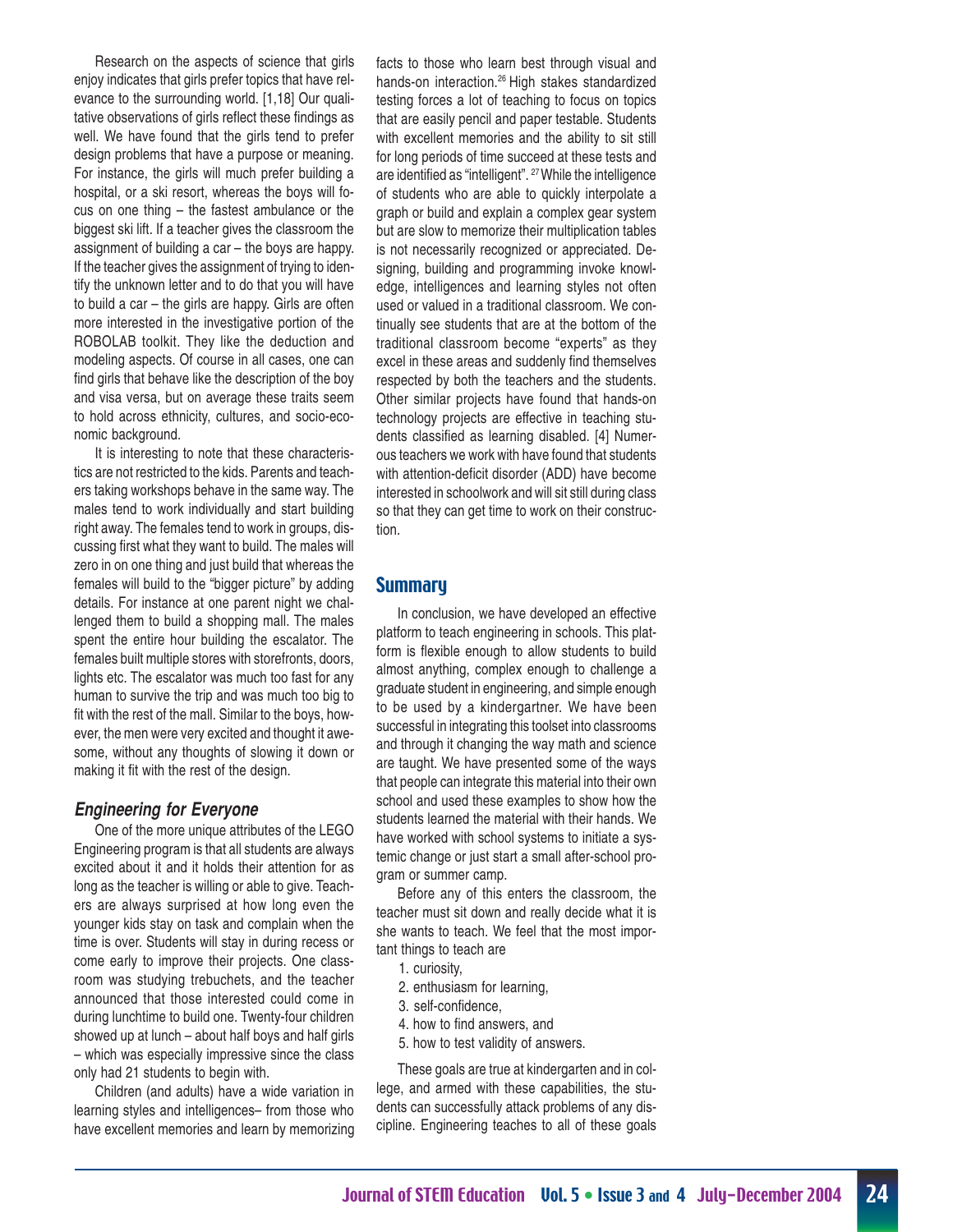Research on the aspects of science that girls enjoy indicates that girls prefer topics that have relevance to the surrounding world. [1,18] Our qualitative observations of girls reflect these findings as well. We have found that the girls tend to prefer design problems that have a purpose or meaning. For instance, the girls will much prefer building a hospital, or a ski resort, whereas the boys will focus on one thing – the fastest ambulance or the biggest ski lift. If a teacher gives the classroom the assignment of building a car – the boys are happy. If the teacher gives the assignment of trying to identify the unknown letter and to do that you will have to build a car – the girls are happy. Girls are often more interested in the investigative portion of the ROBOLAB toolkit. They like the deduction and modeling aspects. Of course in all cases, one can find girls that behave like the description of the boy and visa versa, but on average these traits seem to hold across ethnicity, cultures, and socio-economic background.

It is interesting to note that these characteristics are not restricted to the kids. Parents and teachers taking workshops behave in the same way. The males tend to work individually and start building right away. The females tend to work in groups, discussing first what they want to build. The males will zero in on one thing and just build that whereas the females will build to the "bigger picture" by adding details. For instance at one parent night we challenged them to build a shopping mall. The males spent the entire hour building the escalator. The females built multiple stores with storefronts, doors, lights etc. The escalator was much too fast for any human to survive the trip and was much too big to fit with the rest of the mall. Similar to the boys, however, the men were very excited and thought it awesome, without any thoughts of slowing it down or making it fit with the rest of the design.

#### **Engineering for Everyone**

One of the more unique attributes of the LEGO Engineering program is that all students are always excited about it and it holds their attention for as long as the teacher is willing or able to give. Teachers are always surprised at how long even the younger kids stay on task and complain when the time is over. Students will stay in during recess or come early to improve their projects. One classroom was studying trebuchets, and the teacher announced that those interested could come in during lunchtime to build one. Twenty-four children showed up at lunch – about half boys and half girls – which was especially impressive since the class only had 21 students to begin with.

Children (and adults) have a wide variation in learning styles and intelligences– from those who have excellent memories and learn by memorizing facts to those who learn best through visual and hands-on interaction.26 High stakes standardized testing forces a lot of teaching to focus on topics that are easily pencil and paper testable. Students with excellent memories and the ability to sit still for long periods of time succeed at these tests and are identified as "intelligent". 27 While the intelligence of students who are able to quickly interpolate a graph or build and explain a complex gear system but are slow to memorize their multiplication tables is not necessarily recognized or appreciated. Designing, building and programming invoke knowledge, intelligences and learning styles not often used or valued in a traditional classroom. We continually see students that are at the bottom of the traditional classroom become "experts" as they excel in these areas and suddenly find themselves respected by both the teachers and the students. Other similar projects have found that hands-on technology projects are effective in teaching students classified as learning disabled. [4] Numerous teachers we work with have found that students with attention-deficit disorder (ADD) have become interested in schoolwork and will sit still during class so that they can get time to work on their construction.

#### **Summary**

In conclusion, we have developed an effective platform to teach engineering in schools. This platform is flexible enough to allow students to build almost anything, complex enough to challenge a graduate student in engineering, and simple enough to be used by a kindergartner. We have been successful in integrating this toolset into classrooms and through it changing the way math and science are taught. We have presented some of the ways that people can integrate this material into their own school and used these examples to show how the students learned the material with their hands. We have worked with school systems to initiate a systemic change or just start a small after-school program or summer camp.

Before any of this enters the classroom, the teacher must sit down and really decide what it is she wants to teach. We feel that the most important things to teach are

- 1. curiosity,
- 2. enthusiasm for learning,
- 3. self-confidence,
- 4. how to find answers, and
- 5. how to test validity of answers.

These goals are true at kindergarten and in college, and armed with these capabilities, the students can successfully attack problems of any discipline. Engineering teaches to all of these goals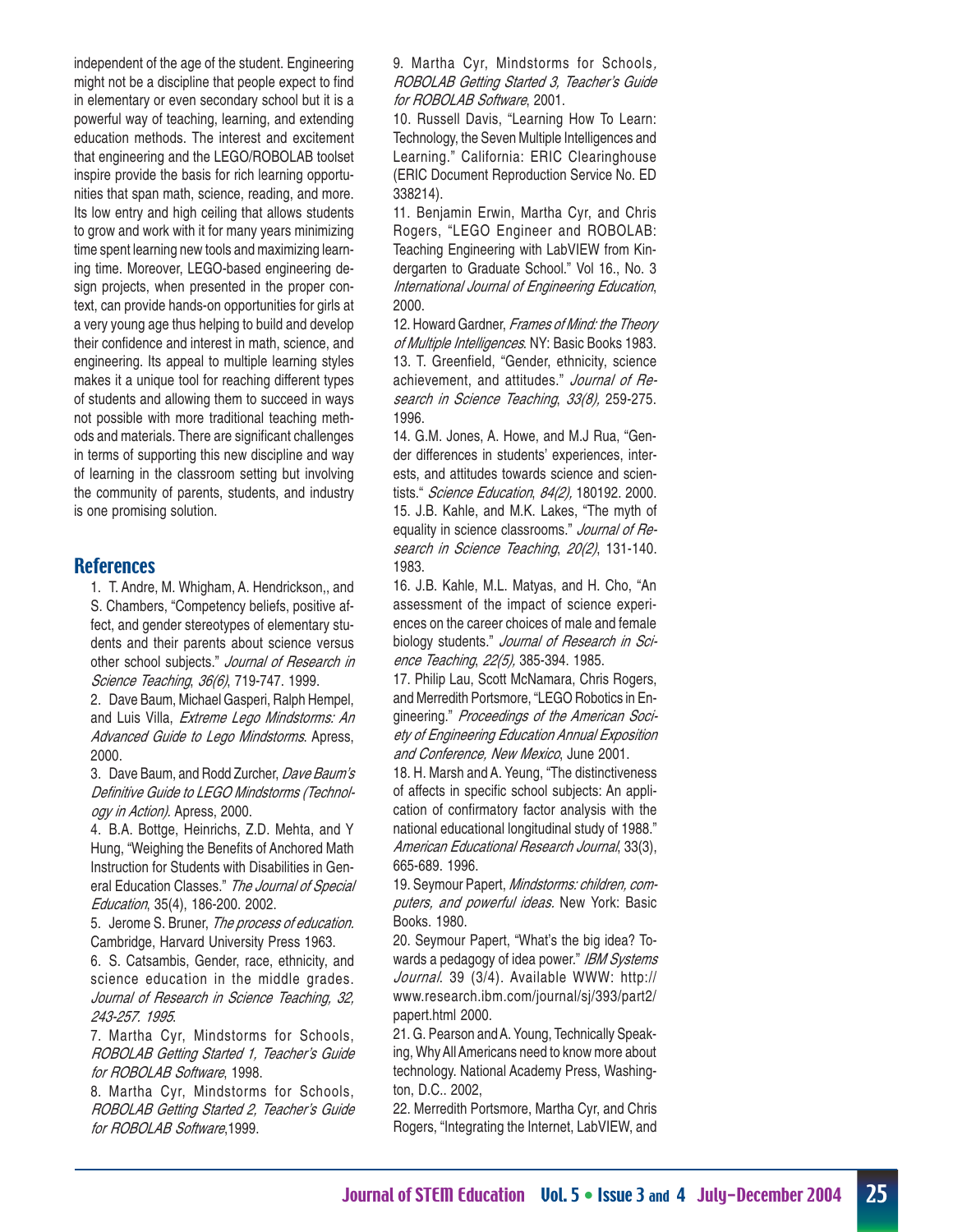independent of the age of the student. Engineering might not be a discipline that people expect to find in elementary or even secondary school but it is a powerful way of teaching, learning, and extending education methods. The interest and excitement that engineering and the LEGO/ROBOLAB toolset inspire provide the basis for rich learning opportunities that span math, science, reading, and more. Its low entry and high ceiling that allows students to grow and work with it for many years minimizing time spent learning new tools and maximizing learning time. Moreover, LEGO-based engineering design projects, when presented in the proper context, can provide hands-on opportunities for girls at a very young age thus helping to build and develop their confidence and interest in math, science, and engineering. Its appeal to multiple learning styles makes it a unique tool for reaching different types of students and allowing them to succeed in ways not possible with more traditional teaching methods and materials. There are significant challenges in terms of supporting this new discipline and way of learning in the classroom setting but involving the community of parents, students, and industry is one promising solution.

#### **References**

1. T. Andre, M. Whigham, A. Hendrickson,, and S. Chambers, "Competency beliefs, positive affect, and gender stereotypes of elementary students and their parents about science versus other school subjects." Journal of Research in Science Teaching, 36(6), 719-747. 1999.

2. Dave Baum, Michael Gasperi, Ralph Hempel, and Luis Villa, Extreme Lego Mindstorms: An Advanced Guide to Lego Mindstorms. Apress, 2000.

3. Dave Baum, and Rodd Zurcher, Dave Baum's Definitive Guide to LEGO Mindstorms (Technology in Action). Apress, 2000.

4. B.A. Bottge, Heinrichs, Z.D. Mehta, and Y Hung, "Weighing the Benefits of Anchored Math Instruction for Students with Disabilities in General Education Classes." The Journal of Special Education, 35(4), 186-200. 2002.

5. Jerome S. Bruner, The process of education. Cambridge, Harvard University Press 1963.

6. S. Catsambis, Gender, race, ethnicity, and science education in the middle grades. Journal of Research in Science Teaching, 32, 243-257. 1995.

7. Martha Cyr, Mindstorms for Schools, ROBOLAB Getting Started 1, Teacher's Guide for ROBOLAB Software, 1998.

8. Martha Cyr, Mindstorms for Schools, ROBOLAB Getting Started 2, Teacher's Guide for ROBOLAB Software, 1999.

9. Martha Cyr, Mindstorms for Schools, ROBOLAB Getting Started 3, Teacher's Guide for ROBOLAB Software, 2001.

10. Russell Davis, "Learning How To Learn: Technology, the Seven Multiple Intelligences and Learning." California: ERIC Clearinghouse (ERIC Document Reproduction Service No. ED 338214).

11. Benjamin Erwin, Martha Cyr, and Chris Rogers, "LEGO Engineer and ROBOLAB: Teaching Engineering with LabVIEW from Kindergarten to Graduate School." Vol 16., No. 3 International Journal of Engineering Education, 2000.

12. Howard Gardner, Frames of Mind: the Theory of Multiple Intelligences. NY: Basic Books 1983. 13. T. Greenfield, "Gender, ethnicity, science achievement, and attitudes." Journal of Research in Science Teaching, 33(8), 259-275. 1996.

14. G.M. Jones, A. Howe, and M.J Rua, "Gender differences in students' experiences, interests, and attitudes towards science and scientists." Science Education, 84(2), 180192. 2000. 15. J.B. Kahle, and M.K. Lakes, "The myth of equality in science classrooms." Journal of Research in Science Teaching, 20(2), 131-140. 1983.

16. J.B. Kahle, M.L. Matyas, and H. Cho, "An assessment of the impact of science experiences on the career choices of male and female biology students." Journal of Research in Science Teaching, 22(5), 385-394. 1985.

17. Philip Lau, Scott McNamara, Chris Rogers, and Merredith Portsmore, "LEGO Robotics in Engineering." Proceedings of the American Society of Engineering Education Annual Exposition and Conference, New Mexico, June 2001.

18. H. Marsh and A. Yeung, "The distinctiveness of affects in specific school subjects: An application of confirmatory factor analysis with the national educational longitudinal study of 1988." American Educational Research Journal, 33(3), 665-689. 1996.

19. Seymour Papert, Mindstorms: children, computers, and powerful ideas. New York: Basic Books. 1980.

20. Seymour Papert, "What's the big idea? Towards a pedagogy of idea power." IBM Systems Journal. 39 (3/4). Available WWW: http:// www.research.ibm.com/journal/sj/393/part2/ papert.html 2000.

21. G. Pearson and A. Young, Technically Speaking, Why All Americans need to know more about technology. National Academy Press, Washington, D.C.. 2002,

22. Merredith Portsmore, Martha Cyr, and Chris Rogers, "Integrating the Internet, LabVIEW, and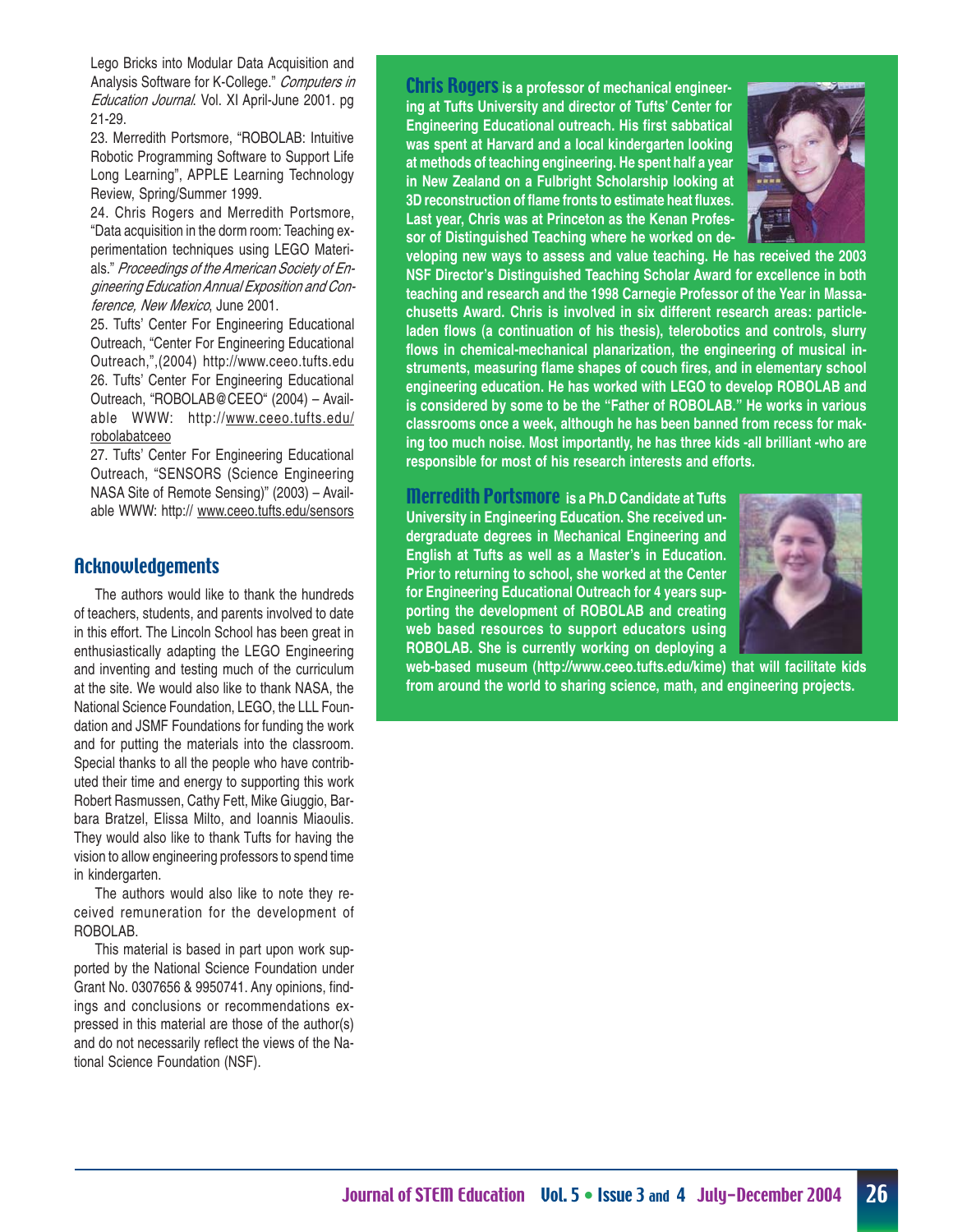Lego Bricks into Modular Data Acquisition and Analysis Software for K-College." Computers in Education Journal. Vol. XI April-June 2001. pg 21-29.

23. Merredith Portsmore, "ROBOLAB: Intuitive Robotic Programming Software to Support Life Long Learning", APPLE Learning Technology Review, Spring/Summer 1999.

24. Chris Rogers and Merredith Portsmore, "Data acquisition in the dorm room: Teaching experimentation techniques using LEGO Materials." Proceedings of the American Society of Engineering Education Annual Exposition and Conference, New Mexico, June 2001.

25. Tufts' Center For Engineering Educational Outreach, "Center For Engineering Educational Outreach,",(2004) http://www.ceeo.tufts.edu 26. Tufts' Center For Engineering Educational Outreach, "ROBOLAB@CEEO" (2004) – Available WWW: http://www.ceeo.tufts.edu/ robolabatceeo

27. Tufts' Center For Engineering Educational Outreach, "SENSORS (Science Engineering NASA Site of Remote Sensing)" (2003) – Available WWW: http:// www.ceeo.tufts.edu/sensors

#### **Acknowledgements**

The authors would like to thank the hundreds of teachers, students, and parents involved to date in this effort. The Lincoln School has been great in enthusiastically adapting the LEGO Engineering and inventing and testing much of the curriculum at the site. We would also like to thank NASA, the National Science Foundation, LEGO, the LLL Foundation and JSMF Foundations for funding the work and for putting the materials into the classroom. Special thanks to all the people who have contributed their time and energy to supporting this work Robert Rasmussen, Cathy Fett, Mike Giuggio, Barbara Bratzel, Elissa Milto, and Ioannis Miaoulis. They would also like to thank Tufts for having the vision to allow engineering professors to spend time in kindergarten.

The authors would also like to note they received remuneration for the development of ROBOLAB.

This material is based in part upon work supported by the National Science Foundation under Grant No. 0307656 & 9950741. Any opinions, findings and conclusions or recommendations expressed in this material are those of the author(s) and do not necessarily reflect the views of the National Science Foundation (NSF).

Chris Rogers **is a professor of mechanical engineering at Tufts University and director of Tufts' Center for Engineering Educational outreach. His first sabbatical was spent at Harvard and a local kindergarten looking at methods of teaching engineering. He spent half a year in New Zealand on a Fulbright Scholarship looking at 3D reconstruction of flame fronts to estimate heat fluxes. Last year, Chris was at Princeton as the Kenan Professor of Distinguished Teaching where he worked on de-**



**veloping new ways to assess and value teaching. He has received the 2003 NSF Director's Distinguished Teaching Scholar Award for excellence in both teaching and research and the 1998 Carnegie Professor of the Year in Massachusetts Award. Chris is involved in six different research areas: particleladen flows (a continuation of his thesis), telerobotics and controls, slurry flows in chemical-mechanical planarization, the engineering of musical instruments, measuring flame shapes of couch fires, and in elementary school engineering education. He has worked with LEGO to develop ROBOLAB and is considered by some to be the "Father of ROBOLAB." He works in various classrooms once a week, although he has been banned from recess for making too much noise. Most importantly, he has three kids -all brilliant -who are responsible for most of his research interests and efforts.**

Merredith Portsmore **is a Ph.D Candidate at Tufts University in Engineering Education. She received undergraduate degrees in Mechanical Engineering and English at Tufts as well as a Master's in Education. Prior to returning to school, she worked at the Center for Engineering Educational Outreach for 4 years supporting the development of ROBOLAB and creating web based resources to support educators using ROBOLAB. She is currently working on deploying a**



**web-based museum (http://www.ceeo.tufts.edu/kime) that will facilitate kids from around the world to sharing science, math, and engineering projects.**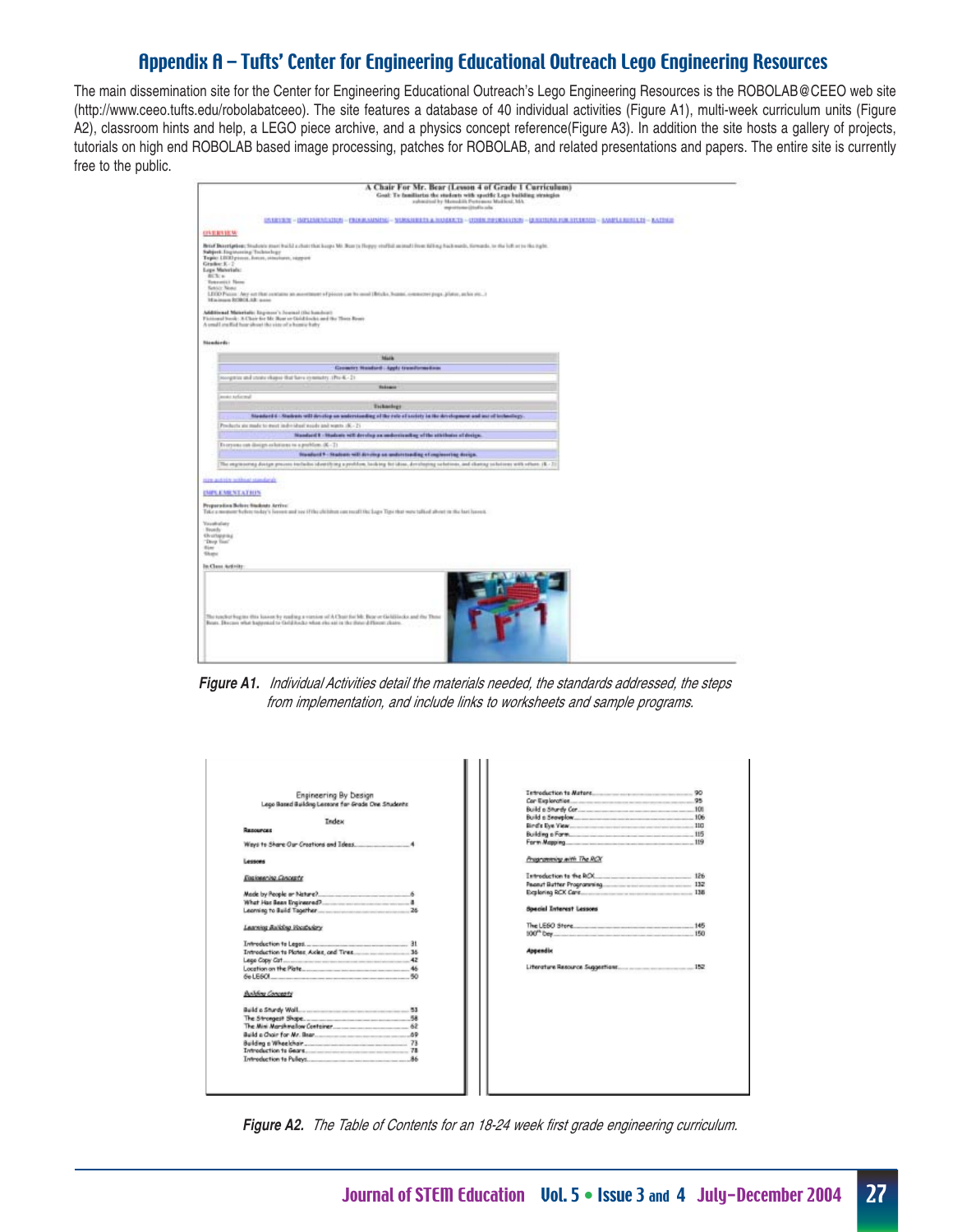## Appendix A – Tufts' Center for Engineering Educational Outreach Lego Engineering Resources

The main dissemination site for the Center for Engineering Educational Outreach's Lego Engineering Resources is the ROBOLAB@CEEO web site (http://www.ceeo.tufts.edu/robolabatceeo). The site features a database of 40 individual activities (Figure A1), multi-week curriculum units (Figure A2), classroom hints and help, a LEGO piece archive, and a physics concept reference(Figure A3). In addition the site hosts a gallery of projects, tutorials on high end ROBOLAB based image processing, patches for ROBOLAB, and related presentations and papers. The entire site is currently free to the public.

|                                                                                                                                                                   | A Chair For Mr. Bear (Lesson 4 of Grade 1 Curriculum)<br>Goal: To familiarize the students with specific Legs building strategies<br>submitted by Mateubili Pertensual Multical, MA<br>mportune (itsels ads)                                                                                                                          |
|-------------------------------------------------------------------------------------------------------------------------------------------------------------------|---------------------------------------------------------------------------------------------------------------------------------------------------------------------------------------------------------------------------------------------------------------------------------------------------------------------------------------|
|                                                                                                                                                                   | UNIXISTS: UNIXIMPROVIDED - PROGRAMMINE - MUSSAGERTS & RUMARTS - (ITHIN PHORMATISH) - ILIGITERAL HOR ATCHINITY - GAMPLE RESULTS - RATINGS                                                                                                                                                                                              |
| ONERSIEM                                                                                                                                                          |                                                                                                                                                                                                                                                                                                                                       |
| Subject: Engineering Technology<br>Grador K-1<br><b>Lope Materials:</b><br><b>BUTLA</b><br><b>Tenantial News</b><br><b>Behler News</b><br>Minimum ROBOL/AR: auxio | Briaf Desertation: Students must build a chatcher lock-ups Mr. Bearts Hoppy stufful autoud from fulling hick each, throunds, to the lot or to the right.<br>Tapic LIGD grous, heat, stachers, sagged<br>LEED Piccox. Any set that contains an assettment of piccox can be seed Hiltche, busine, connected page, plates, as his yer, a |
|                                                                                                                                                                   | Additional Meterialis: Impressy's Journal (the handware<br>Fictional book: A Chair for Mr. Rost or Gold Inchis and the Them Routs                                                                                                                                                                                                     |
|                                                                                                                                                                   | A small and fied hear about the vice of a henric baby                                                                                                                                                                                                                                                                                 |
| <b>Nissalizeda:</b>                                                                                                                                               |                                                                                                                                                                                                                                                                                                                                       |
|                                                                                                                                                                   | Mark                                                                                                                                                                                                                                                                                                                                  |
|                                                                                                                                                                   |                                                                                                                                                                                                                                                                                                                                       |
|                                                                                                                                                                   | Growery Hoadsed - Apply transformations<br>toogetics and states chaps) that have commetey. (Pre-K - 2)                                                                                                                                                                                                                                |
|                                                                                                                                                                   | <b>Wakesport</b>                                                                                                                                                                                                                                                                                                                      |
| asset referred                                                                                                                                                    |                                                                                                                                                                                                                                                                                                                                       |
|                                                                                                                                                                   | <b>Tickockeys</b>                                                                                                                                                                                                                                                                                                                     |
|                                                                                                                                                                   | Nanifact 6: Nadasis will develop un understanding of the rate of seriety in the development and and of betwelkep.                                                                                                                                                                                                                     |
|                                                                                                                                                                   | Products six made to meet individual needs and wants, (K - 2).                                                                                                                                                                                                                                                                        |
|                                                                                                                                                                   | Numbert 8 - Hudson will develop an anderstanding of the attributes of design.                                                                                                                                                                                                                                                         |
|                                                                                                                                                                   | From one can discipre colorizons to a problem (K-7).                                                                                                                                                                                                                                                                                  |
|                                                                                                                                                                   | Heaterd 9 - Staten will develop an understanding of regissering design.                                                                                                                                                                                                                                                               |
|                                                                                                                                                                   | The engineering design process includes (dentifying a profilion, looking fieldoos, developing seletions, and chainsy solutions with others. (B.: 2)                                                                                                                                                                                   |
|                                                                                                                                                                   |                                                                                                                                                                                                                                                                                                                                       |
| Her autobe without standards.                                                                                                                                     |                                                                                                                                                                                                                                                                                                                                       |
| <b>UMPLEMENTATION</b>                                                                                                                                             |                                                                                                                                                                                                                                                                                                                                       |
| Proporation Belove Students Arrive:<br>Vaxabulare<br><b>Bookly</b><br>Overteens<br>"Drep Tout"<br><b>Bine</b><br>Shane                                            | Take a memor to leav today's licens and see (File children can recall the lage Tips that was talked about in the last licens).                                                                                                                                                                                                        |
| In Class Activity                                                                                                                                                 |                                                                                                                                                                                                                                                                                                                                       |
|                                                                                                                                                                   | The touchot begins this losses by realing a version of A Chur for Mt. Bear or Griddlecks and the Those<br>Beats. Discuss what happened to Gold Ander when else ant in the three different chairs.                                                                                                                                     |

**Figure A1.** Individual Activities detail the materials needed, the standards addressed, the steps from implementation, and include links to worksheets and sample programs.

| Engineering By Design                              |                                             |     |
|----------------------------------------------------|---------------------------------------------|-----|
| Lego Based Building Lessons for Grade One Students |                                             | 95  |
|                                                    | Build a Shurdy Cor 100                      |     |
| Tedes:                                             | Build a Snowplow 106                        |     |
| REDOUTCHE                                          |                                             |     |
|                                                    |                                             |     |
| Ways to Share Our Creations and Isleas. 4          |                                             |     |
| Lessons                                            | Programming with The RCX                    |     |
| Environmento Concepto                              | Introduction to the RCX 126                 |     |
|                                                    |                                             |     |
|                                                    | Exploring RCX Care                          |     |
|                                                    |                                             |     |
| Leonving to Build Tagether                         | <b>Special Interest Lessons</b>             |     |
| Learning Balkling Vocabulery                       | The LEGO Store 145<br>100 <sup>th</sup> bev | 150 |
|                                                    |                                             |     |
|                                                    | <b>Appendix</b>                             |     |
|                                                    |                                             |     |
|                                                    |                                             |     |
| RO <sub>1</sub>                                    |                                             |     |
| <b>Building Concepts</b>                           |                                             |     |
|                                                    |                                             |     |
|                                                    |                                             |     |
|                                                    |                                             |     |
|                                                    |                                             |     |
|                                                    |                                             |     |
|                                                    |                                             |     |
|                                                    |                                             |     |

**Figure A2.** The Table of Contents for an 18-24 week first grade engineering curriculum.